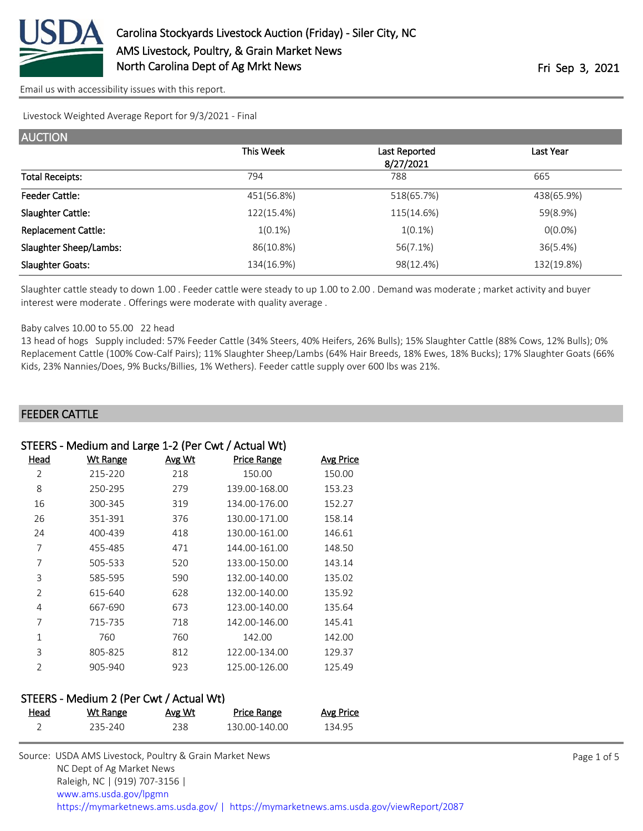

Livestock Weighted Average Report for 9/3/2021 - Final

| <b>AUCTION</b>             |            |                            |            |
|----------------------------|------------|----------------------------|------------|
|                            | This Week  | Last Reported<br>8/27/2021 | Last Year  |
| <b>Total Receipts:</b>     | 794        | 788                        | 665        |
| <b>Feeder Cattle:</b>      | 451(56.8%) | 518(65.7%)                 | 438(65.9%) |
| <b>Slaughter Cattle:</b>   | 122(15.4%) | 115(14.6%)                 | 59(8.9%)   |
| <b>Replacement Cattle:</b> | $1(0.1\%)$ | $1(0.1\%)$                 | $0(0.0\%)$ |
| Slaughter Sheep/Lambs:     | 86(10.8%)  | 56(7.1%)                   | 36(5.4%)   |
| <b>Slaughter Goats:</b>    | 134(16.9%) | 98(12.4%)                  | 132(19.8%) |

Slaughter cattle steady to down 1.00 . Feeder cattle were steady to up 1.00 to 2.00 . Demand was moderate ; market activity and buyer interest were moderate . Offerings were moderate with quality average .

#### Baby calves 10.00 to 55.00 22 head

13 head of hogs Supply included: 57% Feeder Cattle (34% Steers, 40% Heifers, 26% Bulls); 15% Slaughter Cattle (88% Cows, 12% Bulls); 0% Replacement Cattle (100% Cow-Calf Pairs); 11% Slaughter Sheep/Lambs (64% Hair Breeds, 18% Ewes, 18% Bucks); 17% Slaughter Goats (66% Kids, 23% Nannies/Does, 9% Bucks/Billies, 1% Wethers). Feeder cattle supply over 600 lbs was 21%.

#### FEEDER CATTLE

### STEERS - Medium and Large 1-2 (Per Cwt / Actual Wt)

| Head           | <b>Wt Range</b> | Avg Wt | <b>Price Range</b> | <b>Avg Price</b> |
|----------------|-----------------|--------|--------------------|------------------|
| 2              | 215-220         | 218    | 150.00             | 150.00           |
| 8              | 250-295         | 279    | 139.00-168.00      | 153.23           |
| 16             | 300-345         | 319    | 134.00-176.00      | 152.27           |
| 26             | 351-391         | 376    | 130.00-171.00      | 158.14           |
| 24             | 400-439         | 418    | 130.00-161.00      | 146.61           |
| 7              | 455-485         | 471    | 144.00-161.00      | 148.50           |
| 7              | 505-533         | 520    | 133.00-150.00      | 143.14           |
| 3              | 585-595         | 590    | 132.00-140.00      | 135.02           |
| 2              | 615-640         | 628    | 132.00-140.00      | 135.92           |
| 4              | 667-690         | 673    | 123.00-140.00      | 135.64           |
| 7              | 715-735         | 718    | 142.00-146.00      | 145.41           |
| 1              | 760             | 760    | 142.00             | 142.00           |
| 3              | 805-825         | 812    | 122.00-134.00      | 129.37           |
| $\mathfrak{D}$ | 905-940         | 923    | 125.00-126.00      | 125.49           |

#### STEERS - Medium 2 (Per Cwt / Actual Wt)

| <u>Head</u> | Wt Range | Avg Wt | Price Range   | Avg Price |
|-------------|----------|--------|---------------|-----------|
|             | 235-240  | 238.   | 130.00-140.00 | 134.95    |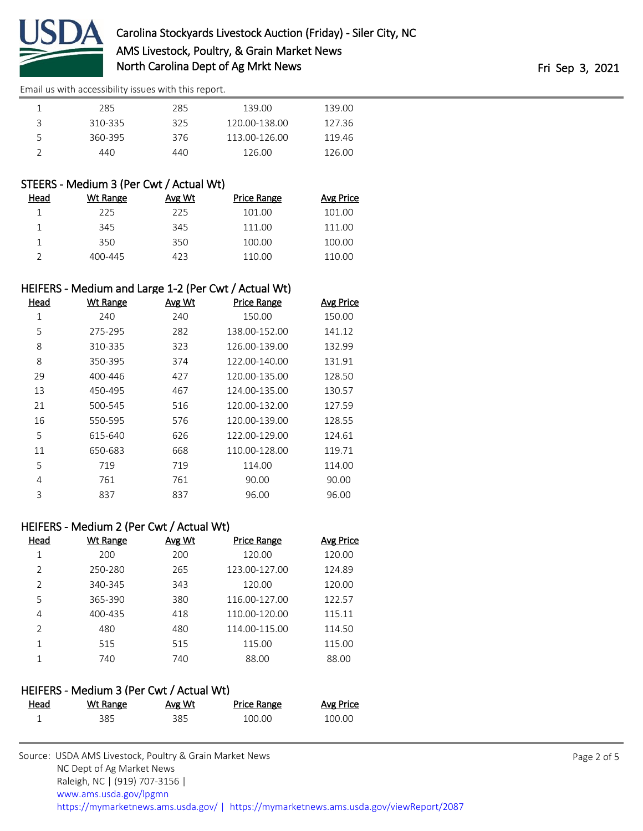

|   | 285     | 285  | 139.00        | 139.00 |
|---|---------|------|---------------|--------|
|   | 310-335 | 325  | 120.00-138.00 | 127.36 |
| 5 | 360-395 | 376  | 113.00-126.00 | 119.46 |
|   | 440     | 440. | 126.00        | 126.00 |

## STEERS - Medium 3 (Per Cwt / Actual Wt)

| Wt Range | Avg Wt | <b>Price Range</b> | Avg Price |
|----------|--------|--------------------|-----------|
| 225      | 225    | 101.00             | 101.00    |
| 345      | 345    | 111.00             | 111.00    |
| 350      | 350    | 100.00             | 100.00    |
| 400-445  | 423    | 110.00             | 110.00    |
|          |        |                    |           |

## HEIFERS - Medium and Large 1-2 (Per Cwt / Actual Wt)

| Head | <b>Wt Range</b> | Avg Wt | <b>Price Range</b> | <b>Avg Price</b> |
|------|-----------------|--------|--------------------|------------------|
| 1    | 240             | 240    | 150.00             | 150.00           |
| 5    | 275-295         | 282    | 138.00-152.00      | 141.12           |
| 8    | 310-335         | 323    | 126.00-139.00      | 132.99           |
| 8    | 350-395         | 374    | 122.00-140.00      | 131.91           |
| 29   | 400-446         | 427    | 120.00-135.00      | 128.50           |
| 13   | 450-495         | 467    | 124.00-135.00      | 130.57           |
| 21   | 500-545         | 516    | 120.00-132.00      | 127.59           |
| 16   | 550-595         | 576    | 120.00-139.00      | 128.55           |
| 5    | 615-640         | 626    | 122.00-129.00      | 124.61           |
| 11   | 650-683         | 668    | 110.00-128.00      | 119.71           |
| 5    | 719             | 719    | 114.00             | 114.00           |
| 4    | 761             | 761    | 90.00              | 90.00            |
| 3    | 837             | 837    | 96.00              | 96.00            |

## HEIFERS - Medium 2 (Per Cwt / Actual Wt)

| Head          | <b>Wt Range</b> | Avg Wt | <b>Price Range</b> | Avg Price |
|---------------|-----------------|--------|--------------------|-----------|
|               | 200             | 200    | 120.00             | 120.00    |
| $\mathcal{P}$ | 250-280         | 265    | 123.00-127.00      | 124.89    |
| $\mathcal{P}$ | 340-345         | 343    | 120.00             | 120.00    |
| 5             | 365-390         | 380    | 116.00-127.00      | 122.57    |
| 4             | 400-435         | 418    | 110.00-120.00      | 115.11    |
| $\mathcal{P}$ | 480             | 480    | 114.00-115.00      | 114.50    |
| 1             | 515             | 515    | 115.00             | 115.00    |
|               | 740             | 740    | 88.00              | 88.00     |

## HEIFERS - Medium 3 (Per Cwt / Actual Wt)

| Head | Wt Range | Avg Wt | Price Range | Avg Price |
|------|----------|--------|-------------|-----------|
|      | 385      | 385    | 100.00      | 100.00    |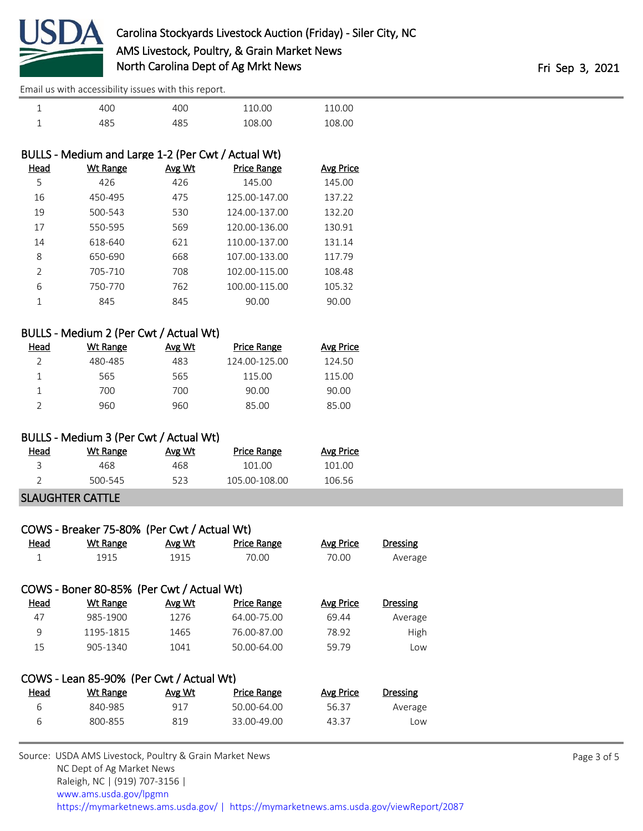

| ۰<br>ᅩ |     | 4በՐ | 110.00 | 110.00 |
|--------|-----|-----|--------|--------|
| ۰      | 485 |     | 108.00 | 108.00 |

| BULLS - Medium and Large 1-2 (Per Cwt / Actual Wt) |          |               |                    |                  |
|----------------------------------------------------|----------|---------------|--------------------|------------------|
| Head                                               | Wt Range | <b>Avg Wt</b> | <b>Price Range</b> | <b>Avg Price</b> |
| 5                                                  | 426      | 426           | 145.00             | 145.00           |
| 16                                                 | 450-495  | 475           | 125.00-147.00      | 137.22           |
| 19                                                 | 500-543  | 530           | 124.00-137.00      | 132.20           |
| 17                                                 | 550-595  | 569           | 120.00-136.00      | 130.91           |
| 14                                                 | 618-640  | 621           | 110.00-137.00      | 131.14           |
| 8                                                  | 650-690  | 668           | 107.00-133.00      | 117.79           |
| $\mathcal{P}$                                      | 705-710  | 708           | 102.00-115.00      | 108.48           |
| 6                                                  | 750-770  | 762           | 100.00-115.00      | 105.32           |
|                                                    | 845      | 845           | 90.00              | 90.00            |
|                                                    |          |               |                    |                  |

## BULLS - Medium 2 (Per Cwt / Actual Wt)

| Head | Wt Range | Avg Wt | <b>Price Range</b> | Avg Price |
|------|----------|--------|--------------------|-----------|
|      | 480-485  | 483    | 124.00-125.00      | 124.50    |
|      | 565      | 565    | 115.00             | 115.00    |
|      | 700      | 700    | 90.00              | 90.00     |
|      | 960      | 960    | 85.00              | 85.00     |

## BULLS - Medium 3 (Per Cwt / Actual Wt)

| Head | Wt Range | Avg Wt | <b>Price Range</b> | Avg Price |
|------|----------|--------|--------------------|-----------|
|      | 468.     | 468.   | 101 OO             | 101 OO    |
|      | 500-545  | 523    | 105 00-108 00      | 106.56    |
|      |          |        |                    |           |

#### SLAUGHTER CATTLE

|              | COWS - Breaker 75-80% (Per Cwt / Actual Wt) |        |                    |           |                 |
|--------------|---------------------------------------------|--------|--------------------|-----------|-----------------|
| Head         | <b>Wt Range</b>                             | Avg Wt | <b>Price Range</b> | Avg Price | <b>Dressing</b> |
| 1            | 1915                                        | 1915   | 70.00              | 70.00     | Average         |
|              | COWS - Boner 80-85% (Per Cwt / Actual Wt)   |        |                    |           |                 |
| Head         | <b>Wt Range</b>                             | Avg Wt | <b>Price Range</b> | Avg Price | <b>Dressing</b> |
| 47           | 985-1900                                    | 1276   | 64.00-75.00        | 69.44     | Average         |
| $\mathsf{Q}$ | 1195-1815                                   | 1465   | 76.00-87.00        | 78.92     | High            |
| 15           | 905-1340                                    | 1041   | 50.00-64.00        | 59.79     | Low             |
|              | COWS - Lean 85-90% (Per Cwt / Actual Wt)    |        |                    |           |                 |
| Head         | <b>Wt Range</b>                             | Avg Wt | <b>Price Range</b> | Avg Price | <b>Dressing</b> |
| 6            | 840-985                                     | 917    | 50.00-64.00        | 56.37     | Average         |
| 6            | 800-855                                     | 819    | 33.00-49.00        | 43.37     | Low             |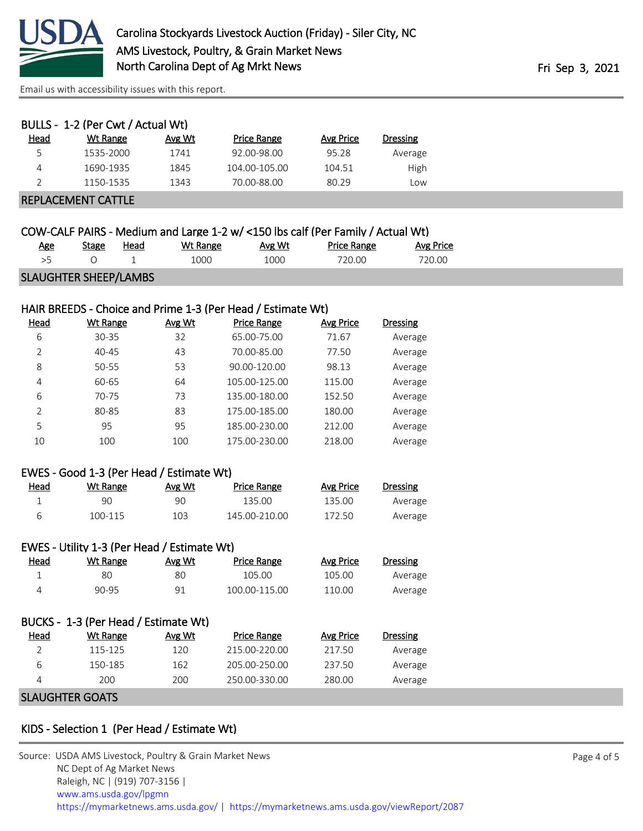

|      | BULLS - 1-2 (Per Cwt / Actual Wt) |        |                    |           |          |
|------|-----------------------------------|--------|--------------------|-----------|----------|
| Head | Wt Range                          | Avg Wt | <b>Price Range</b> | Avg Price | Dressing |
| 5    | 1535-2000                         | 1741   | 92.00-98.00        | 95.28     | Average  |
| 4    | 1690-1935                         | 1845   | 104.00-105.00      | 104.51    | High     |
|      | 1150-1535                         | 1343   | 70.00-88.00        | 80.29     | Low      |
|      | <b>REPLACEMENT CATTLE</b>         |        |                    |           |          |

|                              |              |      |          |        | COW-CALF PAIRS - Medium and Large 1-2 w/ <150 lbs calf (Per Family / Actual Wt) |           |  |
|------------------------------|--------------|------|----------|--------|---------------------------------------------------------------------------------|-----------|--|
| Age                          | <b>Stage</b> | Head | Wt Range | Avg Wt | <b>Price Range</b>                                                              | Avg Price |  |
| >5                           |              |      | 1000     | 1000   | 720.00                                                                          | 720.00    |  |
| <b>SLAUGHTER SHEEP/LAMBS</b> |              |      |          |        |                                                                                 |           |  |

## HAIR BREEDS - Choice and Prime 1-3 (Per Head / Estimate Wt)

| Head | Wt Range  | Avg Wt | <b>Price Range</b> | Avg Price | <b>Dressing</b> |
|------|-----------|--------|--------------------|-----------|-----------------|
| 6    | $30 - 35$ | 32     | 65.00-75.00        | 71.67     | Average         |
| 2    | $40 - 45$ | 43     | 70.00-85.00        | 77.50     | Average         |
| 8    | 50-55     | 53     | 90.00-120.00       | 98.13     | Average         |
| 4    | 60-65     | 64     | 105.00-125.00      | 115.00    | Average         |
| 6    | 70-75     | 73     | 135.00-180.00      | 152.50    | Average         |
| C.   | 80-85     | 83     | 175.00-185.00      | 180.00    | Average         |
| 5    | 95        | 95     | 185.00-230.00      | 212.00    | Average         |
| 10   | 100       | 100    | 175.00-230.00      | 218.00    | Average         |

#### EWES - Good 1-3 (Per Head / Estimate Wt)

| <u>Head</u> | Wt Range | Avg Wt | Price Range   | Avg Price | Dressing |
|-------------|----------|--------|---------------|-----------|----------|
|             | 90       | 90     | 135.00        | 135.00    | Average  |
|             | 100-115  | 103    | 145.00-210.00 | 172.50    | Average  |

| <u>Head</u> | Wt Range | Avg Wt | Price Range   | <b>Avg Price</b> | Dressing |
|-------------|----------|--------|---------------|------------------|----------|
|             | 80       | 80     | 105.00        | 105.00           | Average  |
|             | 90-95    | 91     | 100.00-115.00 | 110.00           | Average  |

|             | BUCKS - 1-3 (Per Head / Estimate Wt) |        |               |           |                 |
|-------------|--------------------------------------|--------|---------------|-----------|-----------------|
| <b>Head</b> | Wt Range                             | Avg Wt | Price Range   | Avg Price | <b>Dressing</b> |
|             | 115-125                              | 120    | 215.00-220.00 | 217.50    | Average         |
| 6           | 150-185                              | 162    | 205.00-250.00 | 237.50    | Average         |
| 4           | 200                                  | 200    | 250.00-330.00 | 280.00    | Average         |
|             |                                      |        |               |           |                 |

## SLAUGHTER GOATS

# KIDS - Selection 1 (Per Head / Estimate Wt)

| Source: USDA AMS Livestock, Poultry & Grain Market News                                |
|----------------------------------------------------------------------------------------|
| NC Dept of Ag Market News                                                              |
| Raleigh, NC   (919) 707-3156                                                           |
| www.ams.usda.gov/lpgmn                                                                 |
| https://mymarketnews.ams.usda.gov/   https://mymarketnews.ams.usda.gov/viewReport/2087 |